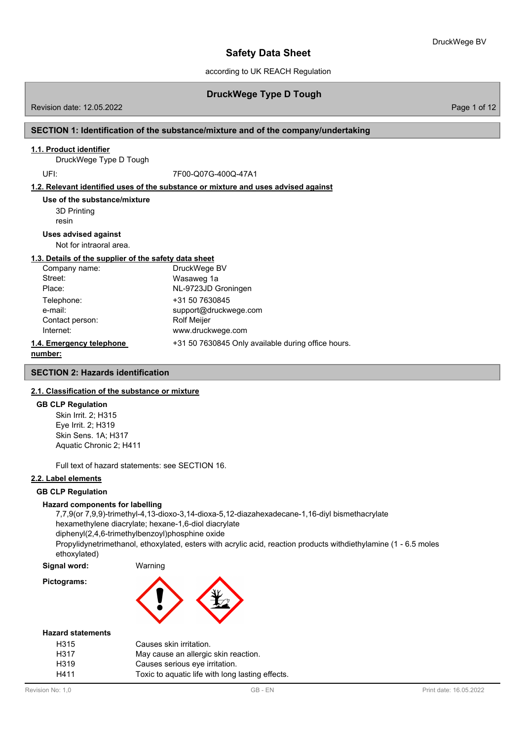according to UK REACH Regulation

# **DruckWege Type D Tough**

Revision date: 12.05.2022 Page 1 of 12

### **SECTION 1: Identification of the substance/mixture and of the company/undertaking**

### **1.1. Product identifier**

DruckWege Type D Tough

UFI: 7F00-Q07G-400Q-47A1

#### **1.2. Relevant identified uses of the substance or mixture and uses advised against**

3D Printing resin **Use of the substance/mixture**

#### **Uses advised against**

Not for intraoral area.

### **1.3. Details of the supplier of the safety data sheet**

| Company name:            | DruckWege BV                                       |
|--------------------------|----------------------------------------------------|
| Street:                  | Wasaweg 1a                                         |
| Place:                   | NL-9723JD Groningen                                |
| Telephone:               | +31 50 7630845                                     |
| e-mail:                  | support@druckwege.com                              |
| Contact person:          | <b>Rolf Meijer</b>                                 |
| Internet:                | www.druckwege.com                                  |
| 1.4. Emergency telephone | +31 50 7630845 Only available during office hours. |
|                          |                                                    |

```
number:
```
#### **SECTION 2: Hazards identification**

### **2.1. Classification of the substance or mixture**

#### **GB CLP Regulation**

Skin Irrit. 2; H315 Eye Irrit. 2; H319 Skin Sens. 1A; H317 Aquatic Chronic 2; H411

Full text of hazard statements: see SECTION 16.

### **2.2. Label elements**

#### **GB CLP Regulation**

#### **Hazard components for labelling**

7,7,9(or 7,9,9)-trimethyl-4,13-dioxo-3,14-dioxa-5,12-diazahexadecane-1,16-diyl bismethacrylate hexamethylene diacrylate; hexane-1,6-diol diacrylate diphenyl(2,4,6-trimethylbenzoyl)phosphine oxide Propylidynetrimethanol, ethoxylated, esters with acrylic acid, reaction products withdiethylamine (1 - 6.5 moles ethoxylated)

**Signal word:** Warning **Pictograms:**



#### **Hazard statements**

| H315 | Causes skin irritation.                          |
|------|--------------------------------------------------|
| H317 | May cause an allergic skin reaction.             |
| H319 | Causes serious eye irritation.                   |
| H411 | Toxic to aguatic life with long lasting effects. |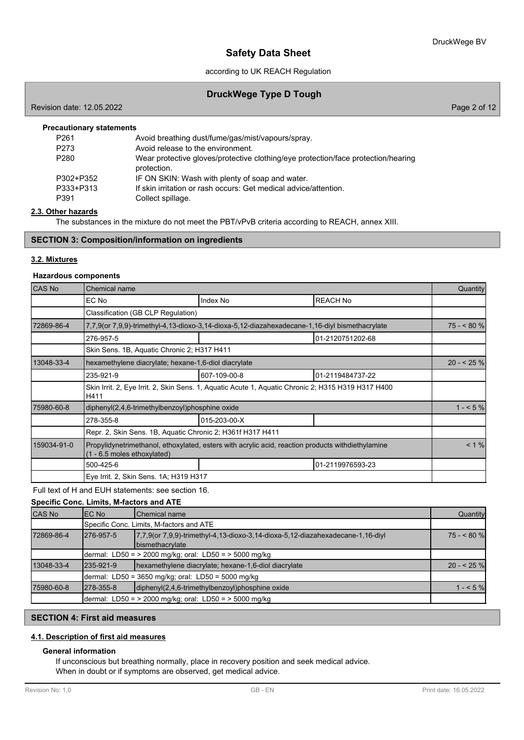according to UK REACH Regulation

## **DruckWege Type D Tough**

Revision date: 12.05.2022 **Page 2 of 12** 

| P <sub>261</sub>  | Avoid breathing dust/fume/gas/mist/vapours/spray.                                                |
|-------------------|--------------------------------------------------------------------------------------------------|
| P273              | Avoid release to the environment.                                                                |
| P <sub>280</sub>  | Wear protective gloves/protective clothing/eye protection/face protection/hearing<br>protection. |
| P302+P352         | IF ON SKIN: Wash with plenty of soap and water.                                                  |
| P333+P313<br>P391 | If skin irritation or rash occurs: Get medical advice/attention.<br>Collect spillage.            |

#### **2.3. Other hazards**

The substances in the mixture do not meet the PBT/vPvB criteria according to REACH, annex XIII.

### **SECTION 3: Composition/information on ingredients**

### **3.2. Mixtures**

#### **Hazardous components**

| <b>CAS No</b> | Chemical name                                                                                                                    |                                                                                                    |                  |               |  |
|---------------|----------------------------------------------------------------------------------------------------------------------------------|----------------------------------------------------------------------------------------------------|------------------|---------------|--|
|               | EC No                                                                                                                            | Index No                                                                                           | <b>REACH No</b>  |               |  |
|               | Classification (GB CLP Regulation)                                                                                               |                                                                                                    |                  |               |  |
| 72869-86-4    |                                                                                                                                  | 7,7,9(or 7,9,9)-trimethyl-4,13-dioxo-3,14-dioxa-5,12-diazahexadecane-1,16-diyl bismethacrylate     |                  | $75 - 80%$    |  |
|               | 276-957-5                                                                                                                        |                                                                                                    | 01-2120751202-68 |               |  |
|               | Skin Sens. 1B, Aquatic Chronic 2; H317 H411                                                                                      |                                                                                                    |                  |               |  |
| 13048-33-4    | hexamethylene diacrylate; hexane-1,6-diol diacrylate                                                                             |                                                                                                    |                  | $20 - 525 \%$ |  |
|               | 235-921-9                                                                                                                        | 607-109-00-8                                                                                       | 01-2119484737-22 |               |  |
|               | H411                                                                                                                             | Skin Irrit. 2, Eye Irrit. 2, Skin Sens. 1, Aquatic Acute 1, Aquatic Chronic 2; H315 H319 H317 H400 |                  |               |  |
| 75980-60-8    | diphenyl(2,4,6-trimethylbenzoyl)phosphine oxide                                                                                  |                                                                                                    |                  |               |  |
|               | 278-355-8                                                                                                                        | 015-203-00-X                                                                                       |                  |               |  |
|               | Repr. 2, Skin Sens. 1B, Aquatic Chronic 2; H361f H317 H411                                                                       |                                                                                                    |                  |               |  |
| 159034-91-0   | Propylidynetrimethanol, ethoxylated, esters with acrylic acid, reaction products withdiethylamine<br>(1 - 6.5 moles ethoxylated) |                                                                                                    |                  |               |  |
|               | 500-425-6                                                                                                                        |                                                                                                    | 01-2119976593-23 |               |  |
|               | Eye Irrit. 2, Skin Sens. 1A; H319 H317                                                                                           |                                                                                                    |                  |               |  |

Full text of H and EUH statements: see section 16.

### **Specific Conc. Limits, M-factors and ATE**

| <b>CAS No</b> | IEC No                                                 | <b>I</b> Chemical name                                                                            | Quantity    |  |
|---------------|--------------------------------------------------------|---------------------------------------------------------------------------------------------------|-------------|--|
|               |                                                        | Specific Conc. Limits, M-factors and ATE                                                          |             |  |
| 72869-86-4    | 1276-957-5                                             | 7,7,9(or 7,9,9)-trimethyl-4,13-dioxo-3,14-dioxa-5,12-diazahexadecane-1,16-diyl<br>bismethacrylate |             |  |
|               | dermal: LD50 = > 2000 mg/kg; oral: LD50 = > 5000 mg/kg |                                                                                                   |             |  |
| 13048-33-4    | 1235-921-9                                             | hexamethylene diacrylate; hexane-1,6-diol diacrylate                                              | $20 - 25$ % |  |
|               |                                                        | dermal: LD50 = 3650 mg/kg; oral: LD50 = 5000 mg/kg                                                |             |  |
| 75980-60-8    | l278-355-8                                             | diphenyl(2,4,6-trimethylbenzoyl)phosphine oxide                                                   | $1 - 5%$    |  |
|               |                                                        | dermal: LD50 = > 2000 mg/kg; oral: LD50 = > 5000 mg/kg                                            |             |  |

# **SECTION 4: First aid measures**

#### **4.1. Description of first aid measures**

### **General information**

If unconscious but breathing normally, place in recovery position and seek medical advice. When in doubt or if symptoms are observed, get medical advice.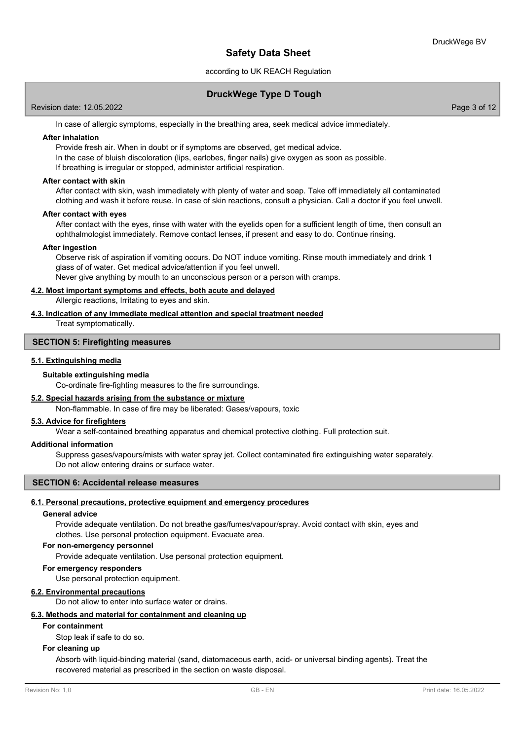### according to UK REACH Regulation

### **DruckWege Type D Tough**

Revision date: 12.05.2022 Page 3 of 12

In case of allergic symptoms, especially in the breathing area, seek medical advice immediately.

### **After inhalation**

Provide fresh air. When in doubt or if symptoms are observed, get medical advice. In the case of bluish discoloration (lips, earlobes, finger nails) give oxygen as soon as possible. If breathing is irregular or stopped, administer artificial respiration.

#### **After contact with skin**

After contact with skin, wash immediately with plenty of water and soap. Take off immediately all contaminated clothing and wash it before reuse. In case of skin reactions, consult a physician. Call a doctor if you feel unwell.

#### **After contact with eyes**

After contact with the eyes, rinse with water with the eyelids open for a sufficient length of time, then consult an ophthalmologist immediately. Remove contact lenses, if present and easy to do. Continue rinsing.

#### **After ingestion**

Observe risk of aspiration if vomiting occurs. Do NOT induce vomiting. Rinse mouth immediately and drink 1 glass of of water. Get medical advice/attention if you feel unwell. Never give anything by mouth to an unconscious person or a person with cramps.

#### **4.2. Most important symptoms and effects, both acute and delayed**

Allergic reactions, Irritating to eyes and skin.

#### **4.3. Indication of any immediate medical attention and special treatment needed**

Treat symptomatically.

### **SECTION 5: Firefighting measures**

#### **5.1. Extinguishing media**

#### **Suitable extinguishing media**

Co-ordinate fire-fighting measures to the fire surroundings.

#### **5.2. Special hazards arising from the substance or mixture**

Non-flammable. In case of fire may be liberated: Gases/vapours, toxic

### **5.3. Advice for firefighters**

Wear a self-contained breathing apparatus and chemical protective clothing. Full protection suit.

#### **Additional information**

Suppress gases/vapours/mists with water spray jet. Collect contaminated fire extinguishing water separately. Do not allow entering drains or surface water.

#### **SECTION 6: Accidental release measures**

### **6.1. Personal precautions, protective equipment and emergency procedures**

#### **General advice**

Provide adequate ventilation. Do not breathe gas/fumes/vapour/spray. Avoid contact with skin, eyes and clothes. Use personal protection equipment. Evacuate area.

### **For non-emergency personnel**

Provide adequate ventilation. Use personal protection equipment.

#### **For emergency responders**

Use personal protection equipment.

#### **6.2. Environmental precautions**

Do not allow to enter into surface water or drains.

### **6.3. Methods and material for containment and cleaning up**

#### **For containment**

Stop leak if safe to do so.

#### **For cleaning up**

Absorb with liquid-binding material (sand, diatomaceous earth, acid- or universal binding agents). Treat the recovered material as prescribed in the section on waste disposal.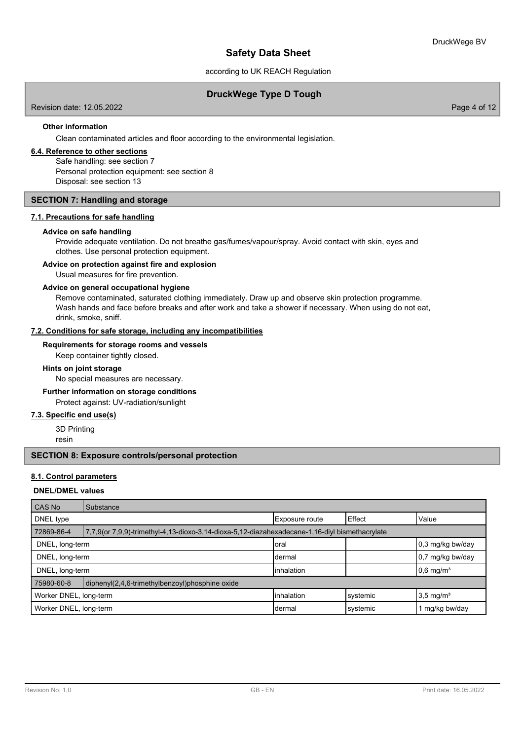according to UK REACH Regulation

### **DruckWege Type D Tough**

Revision date: 12.05.2022 Page 4 of 12

#### **Other information**

Clean contaminated articles and floor according to the environmental legislation.

### **6.4. Reference to other sections**

Safe handling: see section 7 Personal protection equipment: see section 8 Disposal: see section 13

#### **SECTION 7: Handling and storage**

#### **7.1. Precautions for safe handling**

#### **Advice on safe handling**

Provide adequate ventilation. Do not breathe gas/fumes/vapour/spray. Avoid contact with skin, eyes and clothes. Use personal protection equipment.

### **Advice on protection against fire and explosion**

Usual measures for fire prevention.

#### **Advice on general occupational hygiene**

Remove contaminated, saturated clothing immediately. Draw up and observe skin protection programme. Wash hands and face before breaks and after work and take a shower if necessary. When using do not eat, drink, smoke, sniff.

#### **7.2. Conditions for safe storage, including any incompatibilities**

#### **Requirements for storage rooms and vessels**

Keep container tightly closed.

### **Hints on joint storage**

No special measures are necessary.

#### **Further information on storage conditions**

Protect against: UV-radiation/sunlight

#### **7.3. Specific end use(s)**

3D Printing

resin

#### **SECTION 8: Exposure controls/personal protection**

### **8.1. Control parameters**

#### **DNEL/DMEL values**

| <b>CAS No</b>                                                 | Substance                                                                                      |                    |          |                         |  |  |
|---------------------------------------------------------------|------------------------------------------------------------------------------------------------|--------------------|----------|-------------------------|--|--|
| DNEL type                                                     |                                                                                                | Exposure route     | l Effect | Value                   |  |  |
| 72869-86-4                                                    | 7,7,9(or 7,9,9)-trimethyl-4,13-dioxo-3,14-dioxa-5,12-diazahexadecane-1,16-diyl bismethacrylate |                    |          |                         |  |  |
| DNEL, long-term<br>0,3 mg/kg bw/day<br>Ioral                  |                                                                                                |                    |          |                         |  |  |
| DNEL, long-term                                               |                                                                                                | Idermal            |          | 0,7 mg/kg bw/day        |  |  |
| DNEL, long-term                                               |                                                                                                | <b>linhalation</b> |          | $0.6$ mg/m <sup>3</sup> |  |  |
| 75980-60-8<br>diphenyl(2,4,6-trimethylbenzoyl)phosphine oxide |                                                                                                |                    |          |                         |  |  |
| Worker DNEL, long-term                                        |                                                                                                | <b>linhalation</b> | systemic | $3.5 \text{ mg/m}^3$    |  |  |
| Worker DNEL, long-term                                        |                                                                                                | Idermal            | systemic | 1 mg/kg bw/day          |  |  |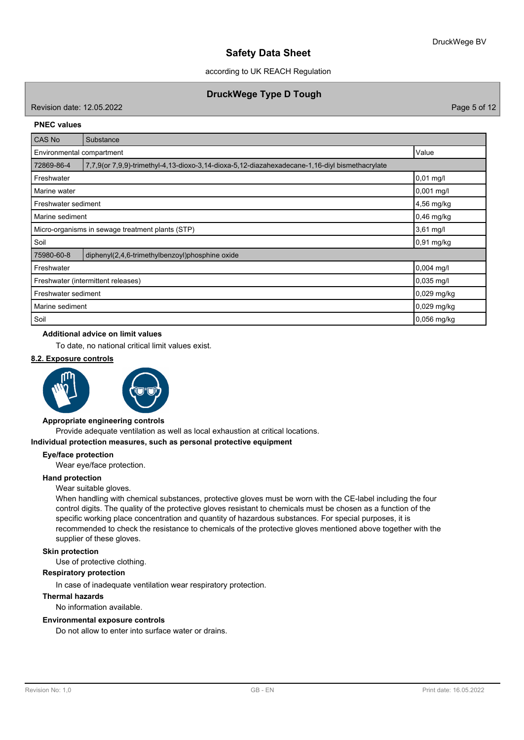according to UK REACH Regulation

## **DruckWege Type D Tough**

Revision date: 12.05.2022 Page 5 of 12

#### **PNEC values**

| <b>CAS No</b>                   | Substance                                                                                      |               |  |  |  |
|---------------------------------|------------------------------------------------------------------------------------------------|---------------|--|--|--|
|                                 | Value<br>Environmental compartment                                                             |               |  |  |  |
| 72869-86-4                      | 7,7,9(or 7,9,9)-trimethyl-4,13-dioxo-3,14-dioxa-5,12-diazahexadecane-1,16-diyl bismethacrylate |               |  |  |  |
| Freshwater                      |                                                                                                | 0,01 mg/l     |  |  |  |
| Marine water                    |                                                                                                | 0,001 mg/l    |  |  |  |
| Freshwater sediment             |                                                                                                | $4,56$ mg/kg  |  |  |  |
| $0,46$ mg/kg<br>Marine sediment |                                                                                                |               |  |  |  |
|                                 | 3,61 mg/l<br>Micro-organisms in sewage treatment plants (STP)                                  |               |  |  |  |
| Soil                            |                                                                                                | 0,91 mg/kg    |  |  |  |
| 75980-60-8                      | diphenyl(2,4,6-trimethylbenzoyl)phosphine oxide                                                |               |  |  |  |
| Freshwater                      |                                                                                                | 0,004 mg/l    |  |  |  |
|                                 | $0,035$ mg/l<br>Freshwater (intermittent releases)                                             |               |  |  |  |
| Freshwater sediment             | 0,029 mg/kg                                                                                    |               |  |  |  |
| Marine sediment                 | 0,029 mg/kg                                                                                    |               |  |  |  |
| Soil                            |                                                                                                | $0,056$ mg/kg |  |  |  |

### **Additional advice on limit values**

To date, no national critical limit values exist.

### **8.2. Exposure controls**





#### **Appropriate engineering controls**

Provide adequate ventilation as well as local exhaustion at critical locations.

### **Individual protection measures, such as personal protective equipment**

#### **Eye/face protection**

Wear eye/face protection.

#### **Hand protection**

### Wear suitable gloves.

When handling with chemical substances, protective gloves must be worn with the CE-label including the four control digits. The quality of the protective gloves resistant to chemicals must be chosen as a function of the specific working place concentration and quantity of hazardous substances. For special purposes, it is recommended to check the resistance to chemicals of the protective gloves mentioned above together with the supplier of these gloves.

#### **Skin protection**

Use of protective clothing.

### **Respiratory protection**

In case of inadequate ventilation wear respiratory protection.

#### **Thermal hazards**

No information available.

### **Environmental exposure controls**

Do not allow to enter into surface water or drains.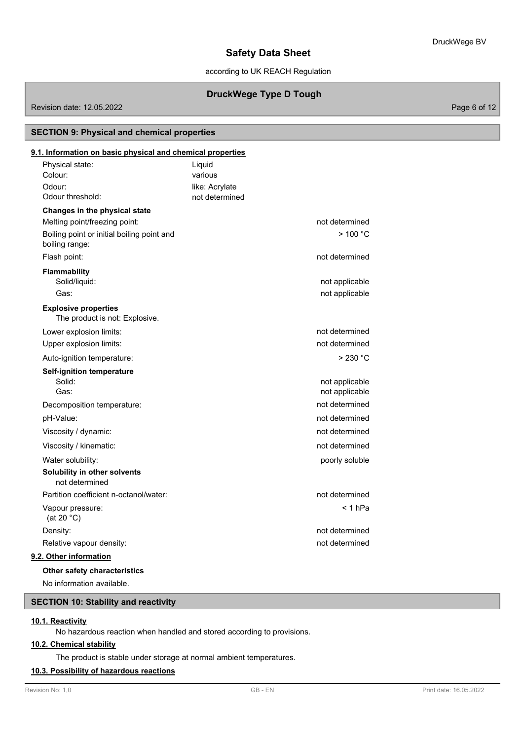according to UK REACH Regulation

# **DruckWege Type D Tough**

Revision date: 12.05.2022 Page 6 of 12

# **SECTION 9: Physical and chemical properties**

# Physical state: Liquid **9.1. Information on basic physical and chemical properties** Colour: various Odour: like: Acrylate Odour threshold: example a mot determined **Changes in the physical state** Melting point/freezing point: not determined Boiling point or initial boiling point and  $\geq 100^{\circ}$ C boiling range: Flash point: not determined that the state of the state of the state of the state of the state of the state of the state of the state of the state of the state of the state of the state of the state of the state of the sta **Flammability** Solid/liquid: not applicable to the state of the state of the state of the state of the state of the state of the state of the state of the state of the state of the state of the state of the state of the state of the stat Gas: contract to the contract of the contract of the contract of the contract of the contract of the contract of the contract of the contract of the contract of the contract of the contract of the contract of the contract The product is not: Explosive. **Explosive properties** Lower explosion limits:  $\blacksquare$ Upper explosion limits:  $\blacksquare$ Auto-ignition temperature:  $\geq 230 \text{ °C}$ **Self-ignition temperature** Solid: example a structure of the structure of the structure of the structure of the structure of the structure of the structure of the structure of the structure of the structure of the structure of the structure of the s Gas: **not applicable** contains the contact of the contact of the contact of the contact of the contact of the contact of the contact of the contact of the contact of the contact of the contact of the contact of the contact Decomposition temperature: not determined pH-Value: not determined Viscosity / dynamic:  $\blacksquare$ Viscosity / kinematic:  $\blacksquare$ Water solubility: which is a poorly soluble poorly soluble **Solubility in other solvents** not determined Partition coefficient n-octanol/water: not determined Vapour pressure: < 1 hPa (at 20 °C) Density: **notified**  $\overline{a}$  and  $\overline{b}$  and  $\overline{b}$  and  $\overline{b}$  and  $\overline{b}$  and  $\overline{b}$  and  $\overline{b}$  and  $\overline{b}$  and  $\overline{b}$  and  $\overline{b}$  and  $\overline{b}$  and  $\overline{b}$  and  $\overline{b}$  and  $\overline{b}$  and  $\overline{b}$  and  $\overline{b}$ Relative vapour density: not determined **9.2. Other information**

### **Other safety characteristics**

No information available.

### **SECTION 10: Stability and reactivity**

### **10.1. Reactivity**

No hazardous reaction when handled and stored according to provisions.

### **10.2. Chemical stability**

The product is stable under storage at normal ambient temperatures.

### **10.3. Possibility of hazardous reactions**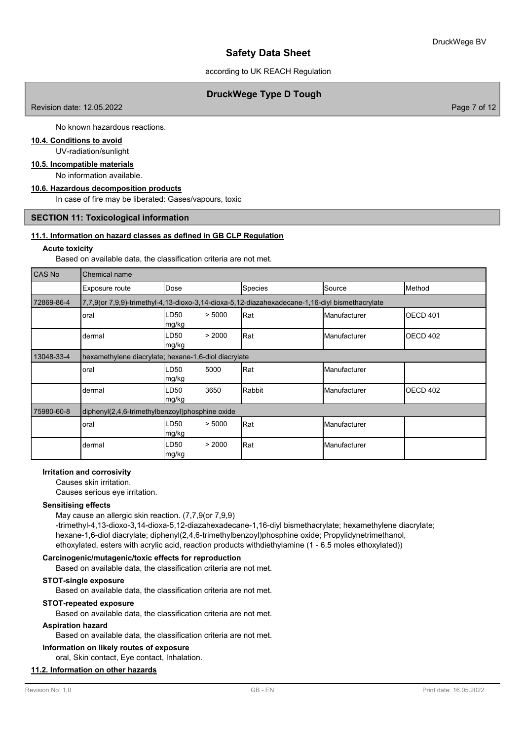according to UK REACH Regulation

# **DruckWege Type D Tough**

Revision date: 12.05.2022 Page 7 of 12

No known hazardous reactions.

### **10.4. Conditions to avoid**

UV-radiation/sunlight

### **10.5. Incompatible materials**

No information available.

### **10.6. Hazardous decomposition products**

In case of fire may be liberated: Gases/vapours, toxic

#### **SECTION 11: Toxicological information**

### **11.1. Information on hazard classes as defined in GB CLP Regulation**

#### **Acute toxicity**

Based on available data, the classification criteria are not met.

| <b>CAS No</b> | Chemical name                                                                                  |                          |                |              |                  |  |  |
|---------------|------------------------------------------------------------------------------------------------|--------------------------|----------------|--------------|------------------|--|--|
|               | Exposure route                                                                                 | Dose                     | <b>Species</b> | Source       | Method           |  |  |
| 72869-86-4    | 7,7,9(or 7,9,9)-trimethyl-4,13-dioxo-3,14-dioxa-5,12-diazahexadecane-1,16-diyl bismethacrylate |                          |                |              |                  |  |  |
|               | oral                                                                                           | > 5000<br>LD50<br>mg/kg  | Rat            | Manufacturer | <b>IOECD 401</b> |  |  |
|               | dermal                                                                                         | > 2000<br>LD50<br>mg/kg  | Rat            | Manufacturer | <b>OECD 402</b>  |  |  |
| 13048-33-4    | hexamethylene diacrylate; hexane-1,6-diol diacrylate                                           |                          |                |              |                  |  |  |
|               | oral                                                                                           | LD50<br>5000<br>mg/kg    | Rat            | Manufacturer |                  |  |  |
|               | dermal                                                                                         | 3650<br>LD50<br>mg/kg    | Rabbit         | Manufacturer | OECD 402         |  |  |
| 75980-60-8    | diphenyl(2,4,6-trimethylbenzoyl)phosphine oxide                                                |                          |                |              |                  |  |  |
|               | oral                                                                                           | LD50<br>> 5000<br>mg/kg  | Rat            | Manufacturer |                  |  |  |
|               | dermal                                                                                         | > 2000<br>LD50<br> mg/kg | Rat            | Manufacturer |                  |  |  |

### **Irritation and corrosivity**

Causes skin irritation.

Causes serious eye irritation.

#### **Sensitising effects**

May cause an allergic skin reaction. (7,7,9(or 7,9,9) -trimethyl-4,13-dioxo-3,14-dioxa-5,12-diazahexadecane-1,16-diyl bismethacrylate; hexamethylene diacrylate; hexane-1,6-diol diacrylate; diphenyl(2,4,6-trimethylbenzoyl)phosphine oxide; Propylidynetrimethanol, ethoxylated, esters with acrylic acid, reaction products withdiethylamine (1 - 6.5 moles ethoxylated))

#### **Carcinogenic/mutagenic/toxic effects for reproduction**

Based on available data, the classification criteria are not met.

#### **STOT-single exposure**

Based on available data, the classification criteria are not met.

#### **STOT-repeated exposure**

Based on available data, the classification criteria are not met.

### **Aspiration hazard**

Based on available data, the classification criteria are not met.

### **Information on likely routes of exposure**

oral, Skin contact, Eye contact, Inhalation.

#### **11.2. Information on other hazards**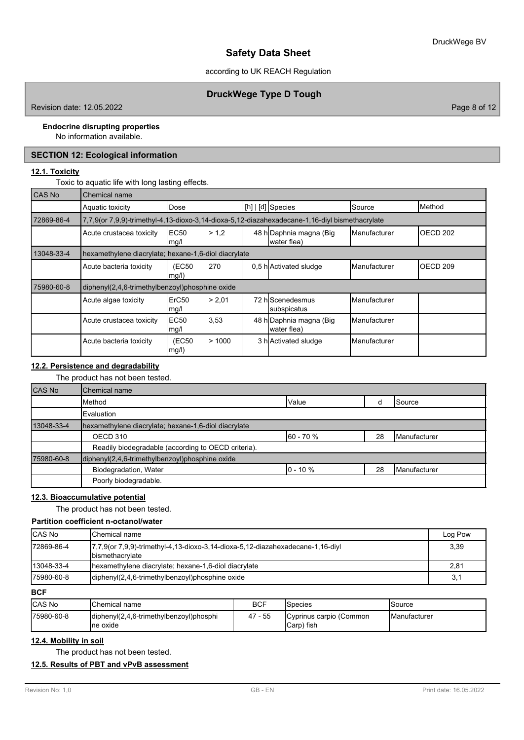according to UK REACH Regulation

# **DruckWege Type D Tough**

Revision date: 12.05.2022 **Page 8 of 12** 

### **Endocrine disrupting properties**

No information available.

# **SECTION 12: Ecological information**

### **12.1. Toxicity**

Toxic to aquatic life with long lasting effects.

| CAS No     | <b>Chemical name</b>                                                                           |                           |        |  |                                        |                     |                     |
|------------|------------------------------------------------------------------------------------------------|---------------------------|--------|--|----------------------------------------|---------------------|---------------------|
|            | Aquatic toxicity                                                                               | Dose                      |        |  | $[h]   [d]$ Species                    | Source              | Method              |
| 72869-86-4 | 7,7,9(or 7,9,9)-trimethyl-4,13-dioxo-3,14-dioxa-5,12-diazahexadecane-1,16-diyl bismethacrylate |                           |        |  |                                        |                     |                     |
|            | Acute crustacea toxicity                                                                       | <b>EC50</b><br>mg/l       | > 1.2  |  | 48 h Daphnia magna (Big<br>water flea) | <b>Manufacturer</b> | OECD <sub>202</sub> |
| 13048-33-4 | hexamethylene diacrylate; hexane-1,6-diol diacrylate                                           |                           |        |  |                                        |                     |                     |
|            | Acute bacteria toxicity                                                                        | (EC50<br>mg/l)            | 270    |  | 0,5 h Activated sludge                 | Manufacturer        | OECD <sub>209</sub> |
| 75980-60-8 | diphenyl(2,4,6-trimethylbenzoyl)phosphine oxide                                                |                           |        |  |                                        |                     |                     |
|            | Acute algae toxicity                                                                           | ErC <sub>50</sub><br>mg/l | > 2.01 |  | 72 hlScenedesmus<br>subspicatus        | Manufacturer        |                     |
|            | Acute crustacea toxicity                                                                       | <b>EC50</b><br>mg/l       | 3,53   |  | 48 h Daphnia magna (Big<br>water flea) | Manufacturer        |                     |
|            | Acute bacteria toxicity                                                                        | (EC50<br>mg/l)            | >1000  |  | 3 h Activated sludge                   | Manufacturer        |                     |

## **12.2. Persistence and degradability**

# The product has not been tested.

| <b>CAS No</b> | Chemical name                                        |              |    |                       |  |  |  |
|---------------|------------------------------------------------------|--------------|----|-----------------------|--|--|--|
|               | <b>I</b> Method                                      | Value        |    | <b>I</b> Source       |  |  |  |
|               | Evaluation                                           |              |    |                       |  |  |  |
| 13048-33-4    | hexamethylene diacrylate; hexane-1,6-diol diacrylate |              |    |                       |  |  |  |
|               | OECD 310                                             | 60 - 70 %    | 28 | <b>I</b> Manufacturer |  |  |  |
|               | Readily biodegradable (according to OECD criteria).  |              |    |                       |  |  |  |
| 75980-60-8    | diphenyl(2,4,6-trimethylbenzoyl)phosphine oxide      |              |    |                       |  |  |  |
|               | Biodegradation, Water                                | $10 - 10 \%$ | 28 | <b>IManufacturer</b>  |  |  |  |
|               | Poorly biodegradable.                                |              |    |                       |  |  |  |

## **12.3. Bioaccumulative potential**

The product has not been tested.

| Partition coefficient n-octanol/water |                                                                                                     |         |  |  |
|---------------------------------------|-----------------------------------------------------------------------------------------------------|---------|--|--|
| <b>CAS No</b>                         | lChemical name                                                                                      | Log Pow |  |  |
| 172869-86-4                           | 17,7,9(or 7,9,9)-trimethyl-4,13-dioxo-3,14-dioxa-5,12-diazahexadecane-1,16-diyl<br>Ibismethacrvlate |         |  |  |
| l 13048-33-4                          | hexamethylene diacrylate; hexane-1,6-diol diacrylate                                                | 2,81    |  |  |
| 175980-60-8                           | diphenyl(2,4,6-trimethylbenzoyl)phosphine oxide                                                     |         |  |  |

**BCF**

| <b>CAS No</b> | 'Chemical name                                       | <b>BCF</b> | <b>Species</b>                        | Source               |
|---------------|------------------------------------------------------|------------|---------------------------------------|----------------------|
| 175980-60-8   | diphenyl(2,4,6-trimethylbenzoyl)phosphi<br>Ine oxide | 47<br>- 55 | Cyprinus carpio (Common<br>Carp) fish | <b>IManufacturer</b> |

#### **12.4. Mobility in soil**

The product has not been tested.

### **12.5. Results of PBT and vPvB assessment**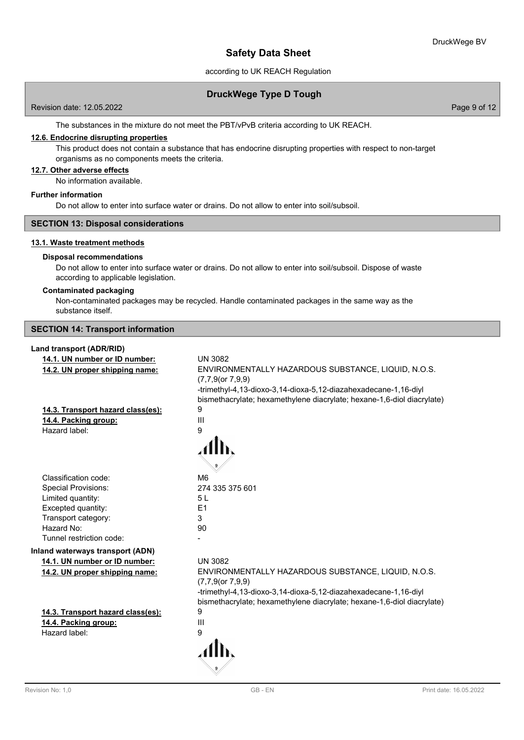according to UK REACH Regulation

### **DruckWege Type D Tough**

Revision date: 12.05.2022 Page 9 of 12

The substances in the mixture do not meet the PBT/vPvB criteria according to UK REACH.

### **12.6. Endocrine disrupting properties**

This product does not contain a substance that has endocrine disrupting properties with respect to non-target organisms as no components meets the criteria.

### **12.7. Other adverse effects**

No information available.

#### **Further information**

Do not allow to enter into surface water or drains. Do not allow to enter into soil/subsoil.

### **SECTION 13: Disposal considerations**

### **13.1. Waste treatment methods**

#### **Disposal recommendations**

Do not allow to enter into surface water or drains. Do not allow to enter into soil/subsoil. Dispose of waste according to applicable legislation.

### **Contaminated packaging**

Non-contaminated packages may be recycled. Handle contaminated packages in the same way as the substance itself.

**SECTION 14: Transport information**

# **Land transport (ADR/RID)**

| Land transport (ADR/RID)          |                                                                        |
|-----------------------------------|------------------------------------------------------------------------|
| 14.1. UN number or ID number:     | <b>UN 3082</b>                                                         |
| 14.2. UN proper shipping name:    | ENVIRONMENTALLY HAZARDOUS SUBSTANCE, LIQUID, N.O.S.                    |
|                                   | $(7,7,9$ (or $7,9,9$ )                                                 |
|                                   | -trimethyl-4,13-dioxo-3,14-dioxa-5,12-diazahexadecane-1,16-diyl        |
|                                   | bismethacrylate; hexamethylene diacrylate; hexane-1,6-diol diacrylate) |
| 14.3. Transport hazard class(es): | 9                                                                      |
| 14.4. Packing group:              | III                                                                    |
| Hazard label:                     | 9                                                                      |
|                                   |                                                                        |
|                                   |                                                                        |
|                                   |                                                                        |
|                                   |                                                                        |
| Classification code:              | M <sub>6</sub>                                                         |
| <b>Special Provisions:</b>        | 274 335 375 601                                                        |
| Limited quantity:                 | 5L                                                                     |
| Excepted quantity:                | E1                                                                     |
| Transport category:               | 3                                                                      |
| Hazard No:                        | 90                                                                     |
| Tunnel restriction code:          |                                                                        |
| Inland waterways transport (ADN)  |                                                                        |
| 14.1. UN number or ID number:     | <b>UN 3082</b>                                                         |
| 14.2. UN proper shipping name:    | ENVIRONMENTALLY HAZARDOUS SUBSTANCE, LIQUID, N.O.S.                    |
|                                   | $(7,7,9$ (or $7,9,9$ )                                                 |
|                                   | -trimethyl-4,13-dioxo-3,14-dioxa-5,12-diazahexadecane-1,16-diyl        |
|                                   | bismethacrylate; hexamethylene diacrylate; hexane-1,6-diol diacrylate) |
| 14.3. Transport hazard class(es): | 9                                                                      |
| 14.4. Packing group:              | III                                                                    |
| Hazard label:                     | 9                                                                      |
|                                   |                                                                        |
|                                   |                                                                        |
|                                   |                                                                        |
|                                   |                                                                        |
|                                   |                                                                        |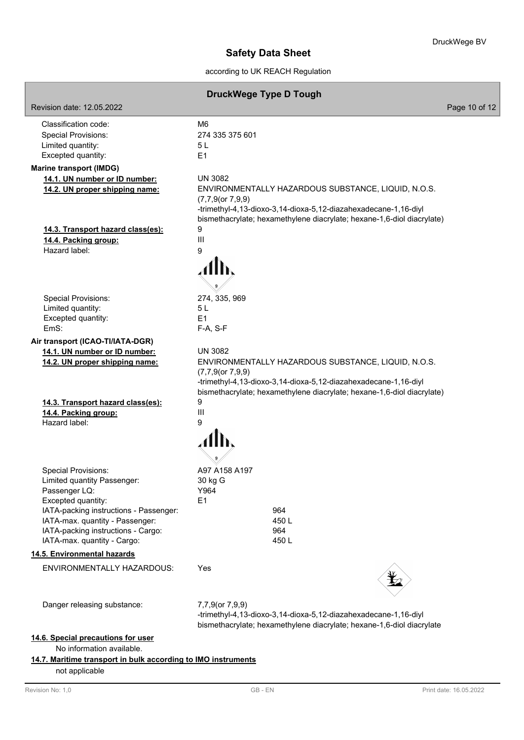according to UK REACH Regulation

# **DruckWege Type D Tough**

| Revision date: 12.05.2022                                     |                                                                                          | Page 10 of 12 |
|---------------------------------------------------------------|------------------------------------------------------------------------------------------|---------------|
| Classification code:                                          | M <sub>6</sub>                                                                           |               |
| <b>Special Provisions:</b>                                    | 274 335 375 601                                                                          |               |
| Limited quantity:                                             | 5L                                                                                       |               |
| Excepted quantity:                                            | E1                                                                                       |               |
| <b>Marine transport (IMDG)</b>                                |                                                                                          |               |
| 14.1. UN number or ID number:                                 | <b>UN 3082</b>                                                                           |               |
| 14.2. UN proper shipping name:                                | ENVIRONMENTALLY HAZARDOUS SUBSTANCE, LIQUID, N.O.S.                                      |               |
|                                                               | $(7,7,9$ (or $7,9,9)$<br>-trimethyl-4,13-dioxo-3,14-dioxa-5,12-diazahexadecane-1,16-diyl |               |
|                                                               | bismethacrylate; hexamethylene diacrylate; hexane-1,6-diol diacrylate)                   |               |
| 14.3. Transport hazard class(es):                             | 9                                                                                        |               |
| 14.4. Packing group:                                          | $\mathop{\rm III}\nolimits$                                                              |               |
| Hazard label:                                                 | 9                                                                                        |               |
|                                                               |                                                                                          |               |
| <b>Special Provisions:</b>                                    | 274, 335, 969                                                                            |               |
| Limited quantity:                                             | 5L                                                                                       |               |
| Excepted quantity:                                            | E1                                                                                       |               |
| EmS:                                                          | F-A, S-F                                                                                 |               |
| Air transport (ICAO-TI/IATA-DGR)                              |                                                                                          |               |
| 14.1. UN number or ID number:                                 | <b>UN 3082</b>                                                                           |               |
| 14.2. UN proper shipping name:                                | ENVIRONMENTALLY HAZARDOUS SUBSTANCE, LIQUID, N.O.S.<br>$(7,7,9$ (or $7,9,9)$             |               |
|                                                               | -trimethyl-4,13-dioxo-3,14-dioxa-5,12-diazahexadecane-1,16-diyl                          |               |
|                                                               | bismethacrylate; hexamethylene diacrylate; hexane-1,6-diol diacrylate)                   |               |
| 14.3. Transport hazard class(es):                             | 9                                                                                        |               |
| 14.4. Packing group:                                          | Ш                                                                                        |               |
| Hazard label:                                                 | 9                                                                                        |               |
|                                                               |                                                                                          |               |
|                                                               |                                                                                          |               |
| <b>Special Provisions:</b>                                    | A97 A158 A197                                                                            |               |
| Limited quantity Passenger:                                   | 30 kg G                                                                                  |               |
| Passenger LQ:<br>Excepted quantity:                           | Y964<br>E1                                                                               |               |
| IATA-packing instructions - Passenger:                        | 964                                                                                      |               |
| IATA-max. quantity - Passenger:                               | 450L                                                                                     |               |
| IATA-packing instructions - Cargo:                            | 964                                                                                      |               |
| IATA-max. quantity - Cargo:                                   | 450L                                                                                     |               |
| 14.5. Environmental hazards                                   |                                                                                          |               |
| ENVIRONMENTALLY HAZARDOUS:                                    | Yes                                                                                      |               |
|                                                               |                                                                                          |               |
|                                                               |                                                                                          |               |
| Danger releasing substance:                                   | 7,7,9(or 7,9,9)                                                                          |               |
|                                                               | -trimethyl-4,13-dioxo-3,14-dioxa-5,12-diazahexadecane-1,16-diyl                          |               |
|                                                               | bismethacrylate; hexamethylene diacrylate; hexane-1,6-diol diacrylate                    |               |
| 14.6. Special precautions for user                            |                                                                                          |               |
| No information available.                                     |                                                                                          |               |
| 14.7. Maritime transport in bulk according to IMO instruments |                                                                                          |               |

not applicable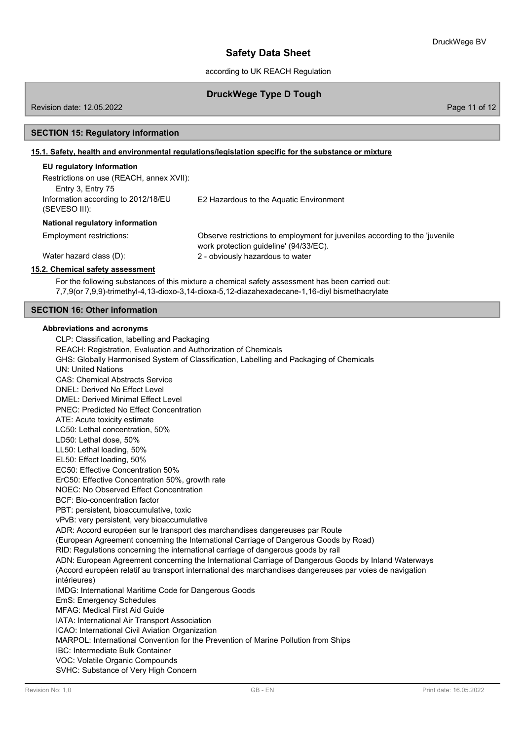according to UK REACH Regulation

### **DruckWege Type D Tough**

Revision date: 12.05.2022 Page 11 of 12

#### **SECTION 15: Regulatory information**

#### **15.1. Safety, health and environmental regulations/legislation specific for the substance or mixture**

### **EU regulatory information**

| Restrictions on use (REACH, annex XVII): |                                                                                                                       |
|------------------------------------------|-----------------------------------------------------------------------------------------------------------------------|
| Entry 3, Entry 75                        |                                                                                                                       |
| Information according to 2012/18/EU      | E2 Hazardous to the Aquatic Environment                                                                               |
| (SEVESO III):                            |                                                                                                                       |
| National regulatory information          |                                                                                                                       |
| Employment restrictions:                 | Observe restrictions to employment for juveniles according to the 'juvenile<br>work protection quideline' (94/33/EC). |
| Water hazard class (D):                  | 2 - obviously hazardous to water                                                                                      |
| 15.2. Chemical safety assessment         |                                                                                                                       |

For the following substances of this mixture a chemical safety assessment has been carried out: 7,7,9(or 7,9,9)-trimethyl-4,13-dioxo-3,14-dioxa-5,12-diazahexadecane-1,16-diyl bismethacrylate

#### **SECTION 16: Other information**

#### **Abbreviations and acronyms**

CLP: Classification, labelling and Packaging REACH: Registration, Evaluation and Authorization of Chemicals GHS: Globally Harmonised System of Classification, Labelling and Packaging of Chemicals UN: United Nations CAS: Chemical Abstracts Service DNEL: Derived No Effect Level DMEL: Derived Minimal Effect Level PNEC: Predicted No Effect Concentration ATE: Acute toxicity estimate LC50: Lethal concentration, 50% LD50: Lethal dose, 50% LL50: Lethal loading, 50% EL50: Effect loading, 50% EC50: Effective Concentration 50% ErC50: Effective Concentration 50%, growth rate NOEC: No Observed Effect Concentration BCF: Bio-concentration factor PBT: persistent, bioaccumulative, toxic vPvB: very persistent, very bioaccumulative ADR: Accord européen sur le transport des marchandises dangereuses par Route (European Agreement concerning the International Carriage of Dangerous Goods by Road) RID: Regulations concerning the international carriage of dangerous goods by rail ADN: European Agreement concerning the International Carriage of Dangerous Goods by Inland Waterways (Accord européen relatif au transport international des marchandises dangereuses par voies de navigation intérieures) IMDG: International Maritime Code for Dangerous Goods EmS: Emergency Schedules MFAG: Medical First Aid Guide IATA: International Air Transport Association ICAO: International Civil Aviation Organization MARPOL: International Convention for the Prevention of Marine Pollution from Ships IBC: Intermediate Bulk Container VOC: Volatile Organic Compounds SVHC: Substance of Very High Concern